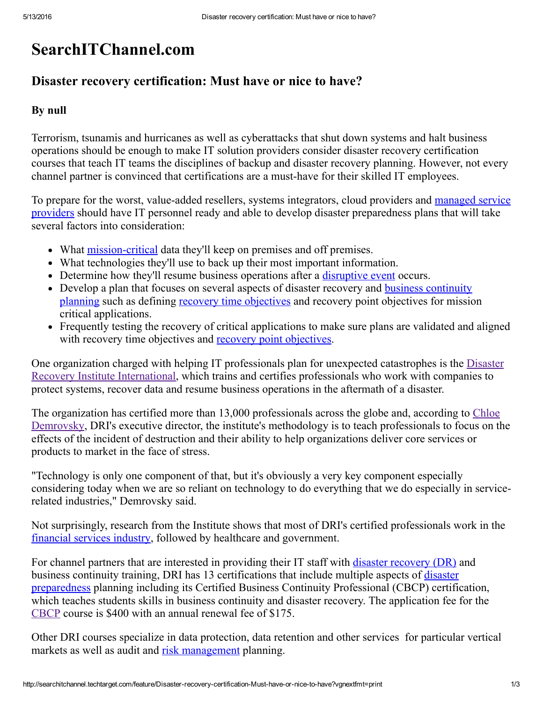# SearchITChannel.com

## Disaster recovery certification: Must have or nice to have?

#### By null

Terrorism, tsunamis and hurricanes as well as cyberattacks that shut down systems and halt business operations should be enough to make IT solution providers consider disaster recovery certification courses that teach IT teams the disciplines of backup and disaster recovery planning. However, not every channel partner is convinced that certifications are a musthave for their skilled IT employees.

To prepare for the worst, value-added resellers, systems integrators, cloud providers and managed service providers should have IT personnel ready and able to develop disaster [preparedness](http://searchenterprisewan.techtarget.com/definition/managed-service-provider) plans that will take several factors into consideration:

- What mission-critical data they'll keep on premises and off premises.
- What technologies they'll use to back up their most important information.
- Determine how they'll resume business operations after a *[disruptive](http://searchdisasterrecovery.techtarget.com/answer/What-BC-DR-plan-alternatives-can-I-use-for-disruptive-events) event* occurs.
- Develop a plan that focuses on several aspects of disaster recovery and business [continuity](http://searchcio.techtarget.com/tip/A-disaster-recovery-business-continuity-plan-for-the-data-breach-age) planning such as defining recovery time [objectives](http://whatis.techtarget.com/definition/recovery-time-objective-RTO) and recovery point objectives for mission critical applications.
- Frequently testing the recovery of critical applications to make sure plans are validated and aligned with recovery time objectives and recovery point [objectives.](http://whatis.techtarget.com/definition/recovery-point-objective-RPO)

One organization charged with helping IT professionals plan for unexpected catastrophes is the Disaster Recovery Institute [International,](https://www.drii.org/) which trains and certifies professionals who work with companies to protect systems, recover data and resume business operations in the aftermath of a disaster.

The organization has certified more than 13,000 [professionals](https://www.linkedin.com/in/chloe-demrovsky-7009b322) across the globe and, according to Chloe Demrovsky, DRI's executive director, the institute's methodology is to teach professionals to focus on the effects of the incident of destruction and their ability to help organizations deliver core services or products to market in the face of stress.

"Technology is only one component of that, but it's obviously a very key component especially considering today when we are so reliant on technology to do everything that we do especially in servicerelated industries," Demrovsky said.

Not surprisingly, research from the Institute shows that most of DRI's certified professionals work in the [financial](http://searchfinancialsecurity.techtarget.com/tip/Disaster-recovery-security-considerations-for-financial-services) services industry, followed by healthcare and government.

For channel partners that are interested in providing their IT staff with **disaster [recovery](http://whatis.techtarget.com/definition/disaster-recovery) (DR)** and business continuity training, DRI has 13 certifications that include multiple aspects of disaster [preparedness](http://searchsecurity.techtarget.com/tip/Improve-disaster-preparedness-with-the-National-Mitigation-Framework) planning including its Certified Business Continuity Professional (CBCP) certification, which teaches students skills in business continuity and disaster recovery. The application fee for the [CBCP](https://drii.org/certification/cbcp.php) course is \$400 with an annual renewal fee of \$175.

Other DRI courses specialize in data protection, data retention and other services for particular vertical markets as well as audit and risk [management](http://searchcompliance.techtarget.com/definition/risk-management) planning.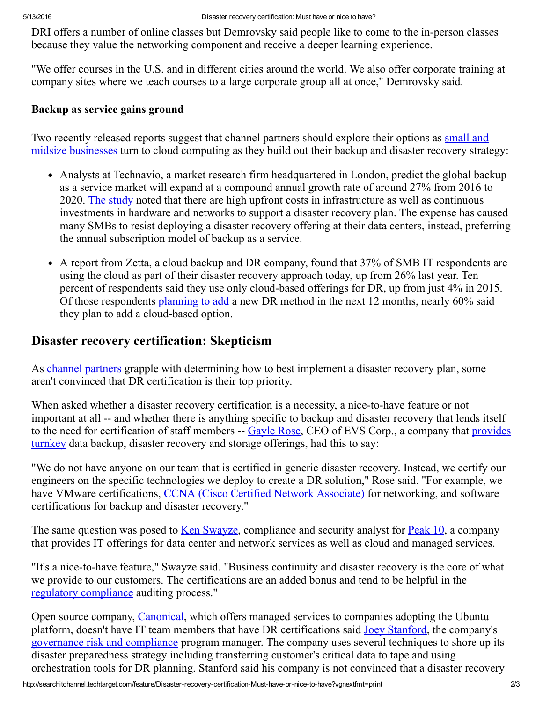DRI offers a number of online classes but Demrovsky said people like to come to the in-person classes because they value the networking component and receive a deeper learning experience.

"We offer courses in the U.S. and in different cities around the world. We also offer corporate training at company sites where we teach courses to a large corporate group all at once," Demrovsky said.

#### Backup as service gains ground

Two recently released reports suggest that channel partners should explore their options as small and midsize businesses turn to cloud [computing](http://whatis.techtarget.com/definition/SMB-small-and-medium-sized-business-or-small-and-midsized-business) as they build out their backup and disaster recovery strategy:

- Analysts at Technavio, a market research firm headquartered in London, predict the global backup as a service market will expand at a compound annual growth rate of around 27% from 2016 to 2020. The [study](http://www.technavio.com/report/global-cloud-computing-backup-service-market) noted that there are high upfront costs in infrastructure as well as continuous investments in hardware and networks to support a disaster recovery plan. The expense has caused many SMBs to resist deploying a disaster recovery offering at their data centers, instead, preferring the annual subscription model of backup as a service.
- A report from Zetta, a cloud backup and DR company, found that 37% of SMB IT respondents are using the cloud as part of their disaster recovery approach today, up from 26% last year. Ten percent of respondents said they use only cloud-based offerings for DR, up from just  $4\%$  in 2015. Of those respondents [planning](http://searchitchannel.techtarget.com/blog/Channel-Marker/DRaaS-could-open-SMB-channel-opportunities) to add a new DR method in the next 12 months, nearly 60% said they plan to add a cloud-based option.

## Disaster recovery certification: Skepticism

As channel [partners](http://searchitchannel.techtarget.com/definition/channel-partner) grapple with determining how to best implement a disaster recovery plan, some aren't convinced that DR certification is their top priority.

When asked whether a disaster recovery certification is a necessity, a nice-to-have feature or not important at all -- and whether there is anything specific to backup and disaster recovery that lends itself to the need for [certification](http://searchitchannel.techtarget.com/definition/turnkey-solution-provider) of staff members -- [Gayle](http://www.evscorporation.com/CEO-gayle-rose) Rose, CEO of EVS Corp., a company that provides turnkey data backup, disaster recovery and storage offerings, had this to say:

"We do not have anyone on our team that is certified in generic disaster recovery. Instead, we certify our engineers on the specific technologies we deploy to create a DR solution," Rose said. "For example, we have VMware certifications, CCNA (Cisco Certified Network [Associate\)](http://searchnetworking.techtarget.com/definition/Cisco-Certified-Network-Associate) for networking, and software certifications for backup and disaster recovery."

The same question was posed to Ken [Swayze](https://www.linkedin.com/in/ken-swayze-cissp-cisa-38154a2), compliance and security analyst for [Peak](http://www.peak10.com/) 10, a company that provides IT offerings for data center and network services as well as cloud and managed services.

"It's a nice-to-have feature," Swayze said. "Business continuity and disaster recovery is the core of what we provide to our customers. The certifications are an added bonus and tend to be helpful in the regulatory [compliance](http://searchcompliance.techtarget.com/definition/regulatory-compliance) auditing process."

Open source company, [Canonical,](http://www.canonical.com/) which offers managed services to companies adopting the Ubuntu platform, doesn't have IT team members that have DR certifications said Joey [Stanford](https://plus.google.com/112674551963025600615/about), the company's governance risk and [compliance](http://searchfinancialsecurity.techtarget.com/definition/Governance-Risk-and-Compliance) program manager. The company uses several techniques to shore up its disaster preparedness strategy including transferring customer's critical data to tape and using orchestration tools for DR planning. Stanford said his company is not convinced that a disaster recovery